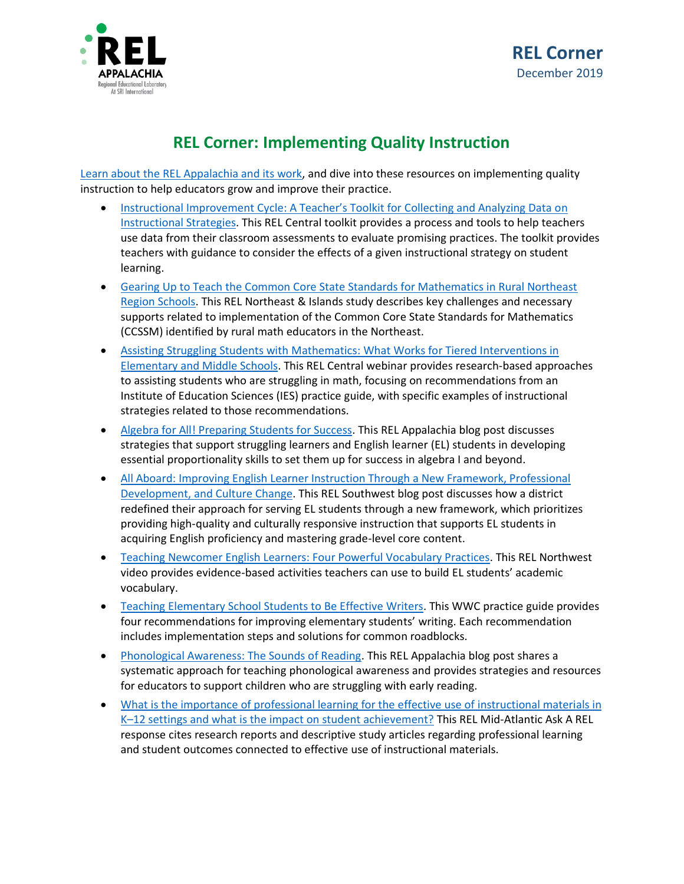

## **REL Corner: Implementing Quality Instruction**

[Learn about the REL Appalachia and its work,](https://ies.ed.gov/ncee/edlabs/regions/appalachia/) and dive into these resources on implementing quality instruction to help educators grow and improve their practice.

- [Instructional Improvement Cycle: A Teacher's Toolkit for](https://ies.ed.gov/ncee/edlabs/projects/project.asp?projectID=4473) Collecting and Analyzing Data on [Instructional Strategies.](https://ies.ed.gov/ncee/edlabs/projects/project.asp?projectID=4473) This REL Central toolkit provides a process and tools to help teachers use data from their classroom assessments to evaluate promising practices. The toolkit provides teachers with guidance to consider the effects of a given instructional strategy on student learning.
- [Gearing Up to Teach the Common Core State Standards for Mathematics in Rural Northeast](https://ies.ed.gov/ncee/edlabs/projects/project.asp?projectID=331)  [Region Schools.](https://ies.ed.gov/ncee/edlabs/projects/project.asp?projectID=331) This REL Northeast & Islands study describes key challenges and necessary supports related to implementation of the Common Core State Standards for Mathematics (CCSSM) identified by rural math educators in the Northeast.
- [Assisting Struggling Students with Mathematics: What Works for Tiered Interventions in](https://ies.ed.gov/ncee/edlabs/regions/central/events/assisting-students.asp)  [Elementary and Middle Schools.](https://ies.ed.gov/ncee/edlabs/regions/central/events/assisting-students.asp) This REL Central webinar provides research-based approaches to assisting students who are struggling in math, focusing on recommendations from an Institute of Education Sciences (IES) practice guide, with specific examples of instructional strategies related to those recommendations.
- [Algebra for All! Preparing Students for Success.](https://ies.ed.gov/ncee/edlabs/regions/appalachia/blogs/blog5_algebra-for-all.asp) This REL Appalachia blog post discusses strategies that support struggling learners and English learner (EL) students in developing essential proportionality skills to set them up for success in algebra I and beyond.
- [All Aboard: Improving English Learner Instruction Through a New Framework, Professional](https://ies.ed.gov/ncee/edlabs/regions/southwest/blogs/improving-english-learner-instruction.aspx)  [Development, and Culture Change.](https://ies.ed.gov/ncee/edlabs/regions/southwest/blogs/improving-english-learner-instruction.aspx) This REL Southwest blog post discusses how a district redefined their approach for serving EL students through a new framework, which prioritizes providing high-quality and culturally responsive instruction that supports EL students in acquiring English proficiency and mastering grade-level core content.
- [Teaching Newcomer English Learners: Four Powerful Vocabulary Practices.](https://www.youtube.com/watch?v=z8GagOVLTyY&feature=youtu.be) This REL Northwest video provides evidence-based activities teachers can use to build EL students' academic vocabulary.
- [Teaching Elementary School Students to Be Effective Writers.](https://ies.ed.gov/ncee/wwc/PracticeGuide/17) This WWC practice guide provides four recommendations for improving elementary students' writing. Each recommendation includes implementation steps and solutions for common roadblocks.
- [Phonological Awareness: The Sounds of Reading.](https://ies.ed.gov/ncee/edlabs/regions/appalachia/blogs/blog22-phonological-awareness-sounds-of-reading.asp) This REL Appalachia blog post shares a systematic approach for teaching phonological awareness and provides strategies and resources for educators to support children who are struggling with early reading.
- [What is the importance of professional learning for the effective use of instructional materials in](https://ies.ed.gov/ncee/edlabs/regions/midatlantic/askarel_103.asp)  K–[12 settings and what is the impact on student achievement?](https://ies.ed.gov/ncee/edlabs/regions/midatlantic/askarel_103.asp) This REL Mid-Atlantic Ask A REL response cites research reports and descriptive study articles regarding professional learning and student outcomes connected to effective use of instructional materials.